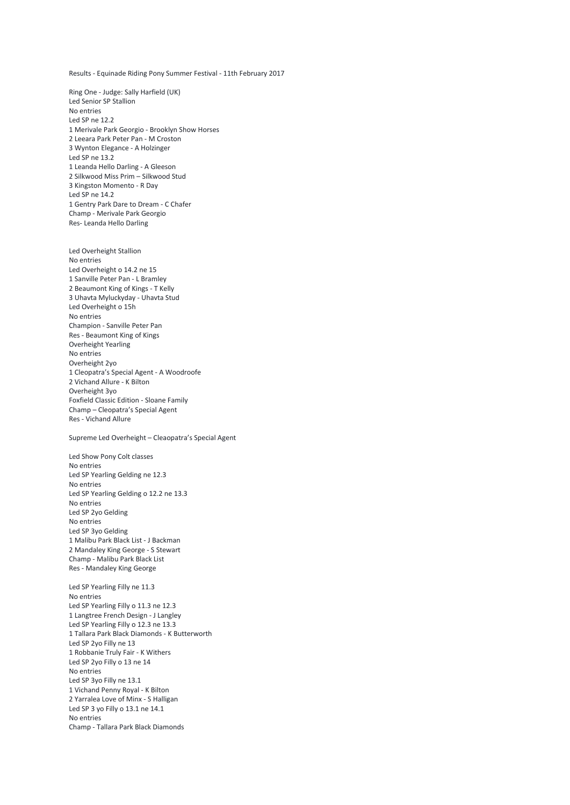Results - Equinade Riding Pony Summer Festival - 11th February 2017

Ring One - Judge: Sally Harfield (UK) Led Senior SP Stallion No entries Led SP ne 12.2 1 Merivale Park Georgio - Brooklyn Show Horses 2 Leeara Park Peter Pan - M Croston 3 Wynton Elegance - A Holzinger Led SP ne 13.2 1 Leanda Hello Darling - A Gleeson 2 Silkwood Miss Prim – Silkwood Stud 3 Kingston Momento - R Day Led SP ne 14.2 1 Gentry Park Dare to Dream - C Chafer Champ - Merivale Park Georgio Res- Leanda Hello Darling

Led Overheight Stallion No entries Led Overheight o 14.2 ne 15 1 Sanville Peter Pan - L Bramley 2 Beaumont King of Kings - T Kelly 3 Uhavta Myluckyday - Uhavta Stud Led Overheight o 15h No entries Champion - Sanville Peter Pan Res - Beaumont King of Kings Overheight Yearling No entries Overheight 2yo 1 Cleopatra's Special Agent - A Woodroofe 2 Vichand Allure - K Bilton Overheight 3yo Foxfield Classic Edition - Sloane Family Champ – Cleopatra's Special Agent Res - Vichand Allure

Supreme Led Overheight – Cleaopatra's Special Agent

Led Show Pony Colt classes No entries Led SP Yearling Gelding ne 12.3 No entries Led SP Yearling Gelding o 12.2 ne 13.3 No entries Led SP 2yo Gelding No entries Led SP 3yo Gelding 1 Malibu Park Black List - J Backman 2 Mandaley King George - S Stewart Champ - Malibu Park Black List Res - Mandaley King George

Led SP Yearling Filly ne 11.3 No entries Led SP Yearling Filly o 11.3 ne 12.3 1 Langtree French Design - J Langley Led SP Yearling Filly o 12.3 ne 13.3 1 Tallara Park Black Diamonds - K Butterworth Led SP 2yo Filly ne 13 1 Robbanie Truly Fair - K Withers Led SP 2yo Filly o 13 ne 14 No entries Led SP 3yo Filly ne 13.1 1 Vichand Penny Royal - K Bilton 2 Yarralea Love of Minx - S Halligan Led SP 3 yo Filly o 13.1 ne 14.1 No entries Champ - Tallara Park Black Diamonds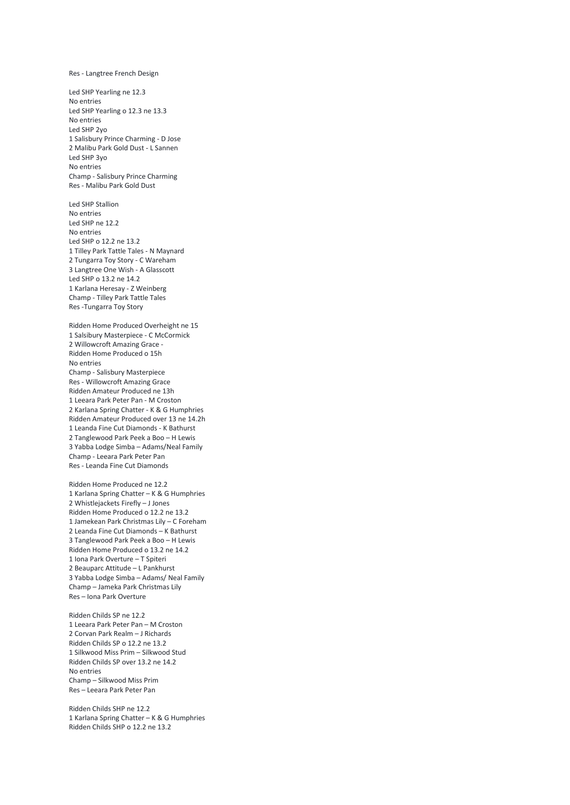## Res - Langtree French Design

Led SHP Yearling ne 12.3 No entries Led SHP Yearling o 12.3 ne 13.3 No entries Led SHP 2yo 1 Salisbury Prince Charming - D Jose 2 Malibu Park Gold Dust - L Sannen Led SHP 3yo No entries Champ - Salisbury Prince Charming Res - Malibu Park Gold Dust

Led SHP Stallion No entries Led SHP ne 12.2 No entries Led SHP o 12.2 ne 13.2 1 Tilley Park Tattle Tales - N Maynard 2 Tungarra Toy Story - C Wareham 3 Langtree One Wish - A Glasscott Led SHP o 13.2 ne 14.2 1 Karlana Heresay - Z Weinberg Champ - Tilley Park Tattle Tales Res -Tungarra Toy Story

Ridden Home Produced Overheight ne 15 1 Salsibury Masterpiece - C McCormick 2 Willowcroft Amazing Grace - Ridden Home Produced o 15h No entries Champ - Salisbury Masterpiece Res - Willowcroft Amazing Grace Ridden Amateur Produced ne 13h 1 Leeara Park Peter Pan - M Croston 2 Karlana Spring Chatter - K & G Humphries Ridden Amateur Produced over 13 ne 14.2h 1 Leanda Fine Cut Diamonds - K Bathurst 2 Tanglewood Park Peek a Boo – H Lewis 3 Yabba Lodge Simba – Adams/Neal Family Champ - Leeara Park Peter Pan Res - Leanda Fine Cut Diamonds

Ridden Home Produced ne 12.2 1 Karlana Spring Chatter – K & G Humphries 2 Whistlejackets Firefly – J Jones Ridden Home Produced o 12.2 ne 13.2 1 Jamekean Park Christmas Lily – C Foreham 2 Leanda Fine Cut Diamonds – K Bathurst 3 Tanglewood Park Peek a Boo – H Lewis Ridden Home Produced o 13.2 ne 14.2 1 Iona Park Overture – T Spiteri 2 Beauparc Attitude – L Pankhurst 3 Yabba Lodge Simba – Adams/ Neal Family Champ – Jameka Park Christmas Lily Res – Iona Park Overture

Ridden Childs SP ne 12.2 1 Leeara Park Peter Pan – M Croston 2 Corvan Park Realm – J Richards Ridden Childs SP o 12.2 ne 13.2 1 Silkwood Miss Prim – Silkwood Stud Ridden Childs SP over 13.2 ne 14.2 No entries Champ – Silkwood Miss Prim Res – Leeara Park Peter Pan

Ridden Childs SHP ne 12.2 1 Karlana Spring Chatter – K & G Humphries Ridden Childs SHP o 12.2 ne 13.2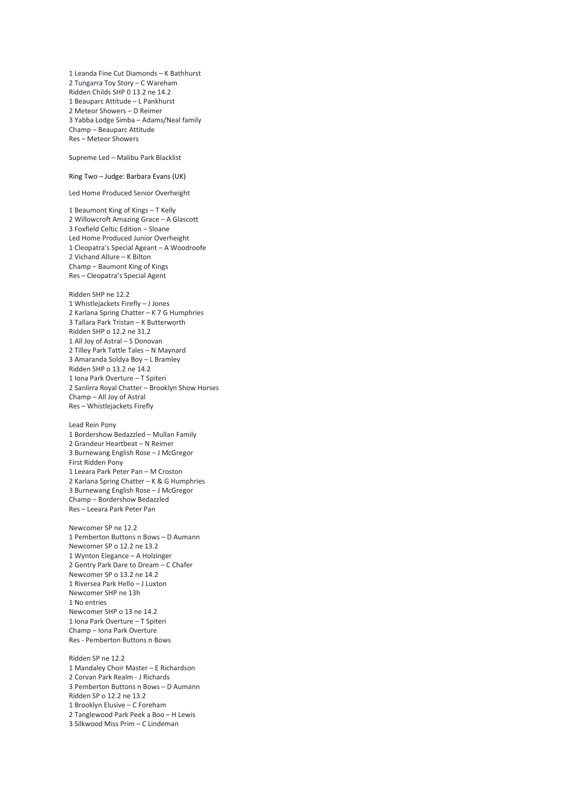2 Tungarra Toy Story – C Wareham Ridden Childs SHP 0 13.2 ne 14.2 1 Beauparc Attitude – L Pankhurst 2 Meteor Showers – D Reimer 3 Yabba Lodge Simba – Adams/Neal family Champ – Beauparc Attitude Res – Meteor Showers Supreme Led – Malibu Park Blacklist Ring Two – Judge: Barbara Evans (UK) Led Home Produced Senior Overheight 1 Beaumont King of Kings – T Kelly 2 Willowcroft Amazing Grace – A Glascott 3 Foxfield Celtic Edition – Sloane Led Home Produced Junior Overheight 1 Cleopatra's Special Ageant – A Woodroofe 2 Vichand Allure – K Bilton Champ – Baumont King of Kings Res – Cleopatra's Special Agent Ridden SHP ne 12.2 1 Whistlejackets Firefly – J Jones 2 Karlana Spring Chatter – K 7 G Humphries 3 Tallara Park Tristan – K Butterworth Ridden SHP o 12.2 ne 31.2 1 All Joy of Astral – S Donovan 2 Tilley Park Tattle Tales – N Maynard 3 Amaranda Soldya Boy – L Bramley Ridden SHP o 13.2 ne 14.2 1 Iona Park Overture – T Spiteri 2 Sanlirra Royal Chatter – Brooklyn Show Horses Champ – All Joy of Astral Res – Whistlejackets Firefly Lead Rein Pony 1 Bordershow Bedazzled – Mullan Family 2 Grandeur Heartbeat – N Reimer 3 Burnewang English Rose – J McGregor First Ridden Pony 1 Leeara Park Peter Pan – M Croston 2 Karlana Spring Chatter – K & G Humphries 3 Burnewang English Rose – J McGregor Champ – Bordershow Bedazzled Res – Leeara Park Peter Pan Newcomer SP ne 12.2 1 Pemberton Buttons n Bows – D Aumann Newcomer SP o 12.2 ne 13.2 1 Wynton Elegance – A Holzinger 2 Gentry Park Dare to Dream – C Chafer Newcomer SP o 13.2 ne 14.2 1 Riversea Park Hello – J Luxton Newcomer SHP ne 13h 1 No entries Newcomer SHP o 13 ne 14.2 1 Iona Park Overture – T Spiteri Champ – Iona Park Overture Res - Pemberton Buttons n Bows Ridden SP ne 12.2 1 Mandaley Choir Master – E Richardson 2 Corvan Park Realm - J Richards 3 Pemberton Buttons n Bows – D Aumann Ridden SP o 12.2 ne 13.2 1 Brooklyn Elusive – C Foreham 2 Tanglewood Park Peek a Boo – H Lewis 3 Silkwood Miss Prim – C Lindeman

1 Leanda Fine Cut Diamonds – K Bathhurst